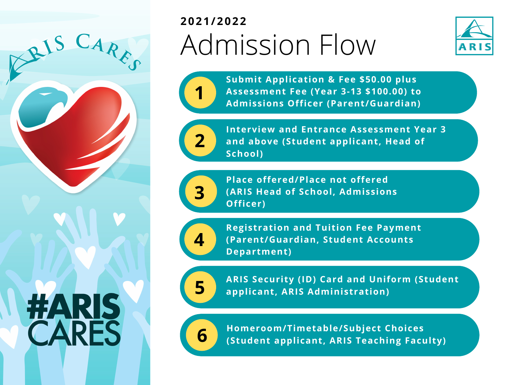

## Admission Flow **2021/2022**



**Submit Application & Fee \$50.00 plus Assessment Fee (Year 3-13 \$100.00) to Admissions Officer (Parent/Guardian)**



**1**

**Interview and Entrance Assessment Year 3 and above (Student applicant, Head of School)**



**Place offered/Place not offered (ARIS Head of School, Admissions Officer)**



**Registration and Tuition Fee Payment (Parent/Guardian, Student Accounts Department)**



**ARIS Security (ID) Card and Uniform (Student 5 applicant, ARIS Administration)**



**Homeroom/Timetable/Subject Choices 6 (Student applicant, ARIS Teaching Faculty)**